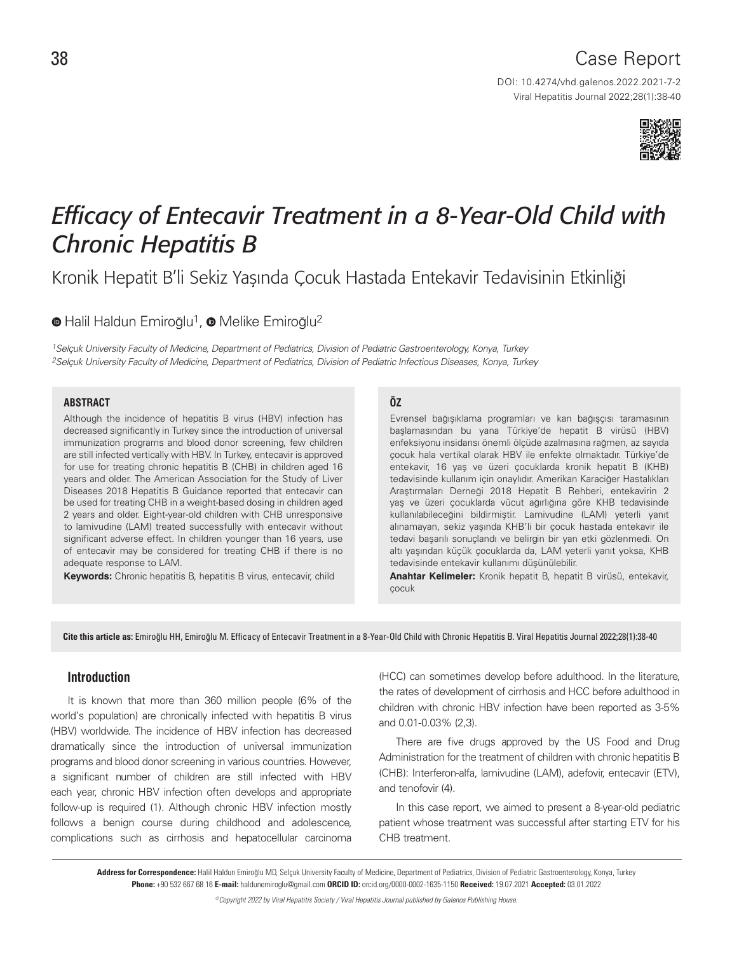# Case Report

DOI: 10.4274/vhd.galenos.2022.2021-7-2 Viral Hepatitis Journal 2022;28(1):38-40



# *Efficacy of Entecavir Treatment in a 8-Year-Old Child with Chronic Hepatitis B*

Kronik Hepatit B'li Sekiz Yaşında Çocuk Hastada Entekavir Tedavisinin Etkinliği

<sup>O</sup>Halil Haldun Emiroğlu<sup>1</sup>, <sup>O</sup> Melike Emiroğlu<sup>2</sup>

1Selçuk University Faculty of Medicine, Department of Pediatrics, Division of Pediatric Gastroenterology, Konya, Turkey 2Selçuk University Faculty of Medicine, Department of Pediatrics, Division of Pediatric Infectious Diseases, Konya, Turkey

#### **ABSTRACT**

Although the incidence of hepatitis B virus (HBV) infection has decreased significantly in Turkey since the introduction of universal immunization programs and blood donor screening, few children are still infected vertically with HBV. In Turkey, entecavir is approved for use for treating chronic hepatitis B (CHB) in children aged 16 years and older. The American Association for the Study of Liver Diseases 2018 Hepatitis B Guidance reported that entecavir can be used for treating CHB in a weight-based dosing in children aged 2 years and older. Eight-year-old children with CHB unresponsive to lamivudine (LAM) treated successfully with entecavir without significant adverse effect. In children younger than 16 years, use of entecavir may be considered for treating CHB if there is no adequate response to LAM.

**Keywords:** Chronic hepatitis B, hepatitis B virus, entecavir, child

#### **ÖZ**

Evrensel bağışıklama programları ve kan bağışçısı taramasının başlamasından bu yana Türkiye'de hepatit B virüsü (HBV) enfeksiyonu insidansı önemli ölçüde azalmasına rağmen, az sayıda çocuk hala vertikal olarak HBV ile enfekte olmaktadır. Türkiye'de entekavir, 16 yaş ve üzeri çocuklarda kronik hepatit B (KHB) tedavisinde kullanım için onaylıdır. Amerikan Karaciğer Hastalıkları Araştırmaları Derneği 2018 Hepatit B Rehberi, entekavirin 2 yaş ve üzeri çocuklarda vücut ağırlığına göre KHB tedavisinde kullanılabileceğini bildirmiştir. Lamivudine (LAM) yeterli yanıt alınamayan, sekiz yaşında KHB'li bir çocuk hastada entekavir ile tedavi başarılı sonuçlandı ve belirgin bir yan etki gözlenmedi. On altı yaşından küçük çocuklarda da, LAM yeterli yanıt yoksa, KHB tedavisinde entekavir kullanımı düşünülebilir.

**Anahtar Kelimeler:** Kronik hepatit B, hepatit B virüsü, entekavir, çocuk

Cite this article as: Emiroğlu HH, Emiroğlu M. Efficacy of Entecavir Treatment in a 8-Year-Old Child with Chronic Hepatitis B. Viral Hepatitis Journal 2022;28(1):38-40

## **Introduction**

It is known that more than 360 million people (6% of the world's population) are chronically infected with hepatitis B virus (HBV) worldwide. The incidence of HBV infection has decreased dramatically since the introduction of universal immunization programs and blood donor screening in various countries. However, a significant number of children are still infected with HBV each year, chronic HBV infection often develops and appropriate follow-up is required (1). Although chronic HBV infection mostly follows a benign course during childhood and adolescence, complications such as cirrhosis and hepatocellular carcinoma (HCC) can sometimes develop before adulthood. In the literature, the rates of development of cirrhosis and HCC before adulthood in children with chronic HBV infection have been reported as 3-5% and 0.01-0.03% (2,3).

There are five drugs approved by the US Food and Drug Administration for the treatment of children with chronic hepatitis B (CHB): Interferon-alfa, lamivudine (LAM), adefovir, entecavir (ETV), and tenofovir (4).

In this case report, we aimed to present a 8-year-old pediatric patient whose treatment was successful after starting ETV for his CHB treatment.

Address for Correspondence: Halil Haldun Emiroğlu MD, Selçuk University Faculty of Medicine, Department of Pediatrics, Division of Pediatric Gastroenterology, Konya, Turkey Phone: +90 532 667 68 16 E-mail: haldunemiroglu@gmail.com ORCID ID: orcid.org/0000-0002-1635-1150 Received: 19.07.2021 Accepted: 03.01.2022

©Copyright 2022 by Viral Hepatitis Society / Viral Hepatitis Journal published by Galenos Publishing House.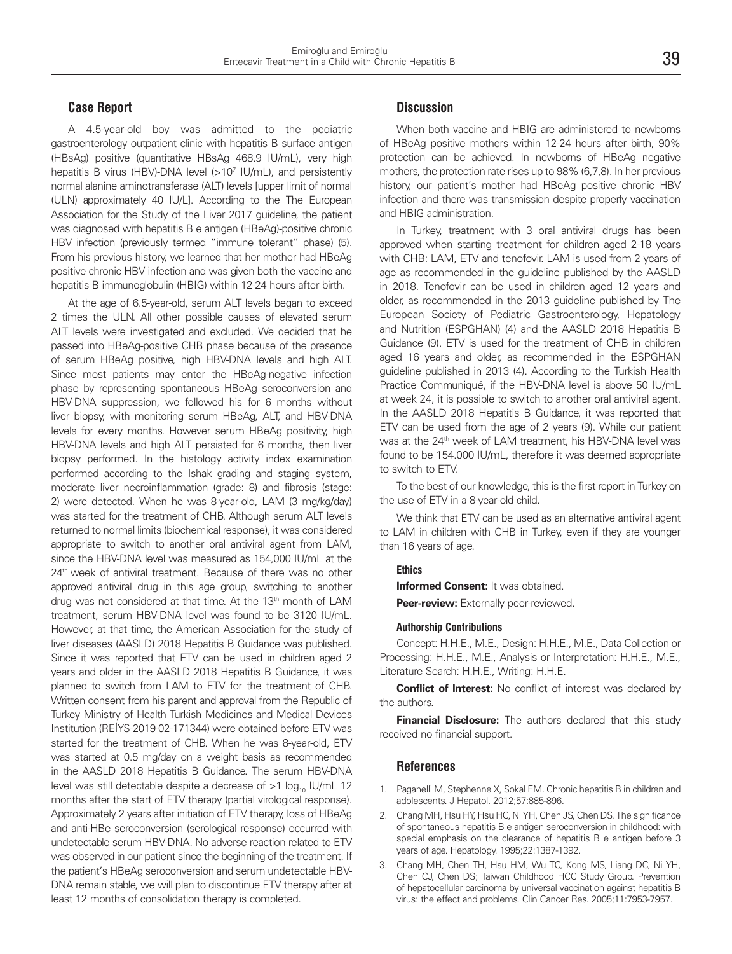### **Case Report**

A 4.5-year-old boy was admitted to the pediatric gastroenterology outpatient clinic with hepatitis B surface antigen (HBsAg) positive (quantitative HBsAg 468.9 IU/mL), very high hepatitis B virus (HBV)-DNA level (>10<sup>7</sup> IU/mL), and persistently normal alanine aminotransferase (ALT) levels [upper limit of normal (ULN) approximately 40 IU/L]. According to the The European Association for the Study of the Liver 2017 guideline, the patient was diagnosed with hepatitis B e antigen (HBeAg)-positive chronic HBV infection (previously termed "immune tolerant" phase) (5). From his previous history, we learned that her mother had HBeAg positive chronic HBV infection and was given both the vaccine and hepatitis B immunoglobulin (HBIG) within 12-24 hours after birth.

At the age of 6.5-year-old, serum ALT levels began to exceed 2 times the ULN. All other possible causes of elevated serum ALT levels were investigated and excluded. We decided that he passed into HBeAg-positive CHB phase because of the presence of serum HBeAg positive, high HBV-DNA levels and high ALT. Since most patients may enter the HBeAg-negative infection phase by representing spontaneous HBeAg seroconversion and HBV-DNA suppression, we followed his for 6 months without liver biopsy, with monitoring serum HBeAg, ALT, and HBV-DNA levels for every months. However serum HBeAg positivity, high HBV-DNA levels and high ALT persisted for 6 months, then liver biopsy performed. In the histology activity index examination performed according to the Ishak grading and staging system, moderate liver necroinflammation (grade: 8) and fibrosis (stage: 2) were detected. When he was 8-year-old, LAM (3 mg/kg/day) was started for the treatment of CHB. Although serum ALT levels returned to normal limits (biochemical response), it was considered appropriate to switch to another oral antiviral agent from LAM, since the HBV-DNA level was measured as 154,000 IU/mL at the 24<sup>th</sup> week of antiviral treatment. Because of there was no other approved antiviral drug in this age group, switching to another drug was not considered at that time. At the 13<sup>th</sup> month of LAM treatment, serum HBV-DNA level was found to be 3120 IU/mL. However, at that time, the American Association for the study of liver diseases (AASLD) 2018 Hepatitis B Guidance was published. Since it was reported that ETV can be used in children aged 2 years and older in the AASLD 2018 Hepatitis B Guidance, it was planned to switch from LAM to ETV for the treatment of CHB. Written consent from his parent and approval from the Republic of Turkey Ministry of Health Turkish Medicines and Medical Devices Institution (REİYS-2019-02-171344) were obtained before ETV was started for the treatment of CHB. When he was 8-year-old, ETV was started at 0.5 mg/day on a weight basis as recommended in the AASLD 2018 Hepatitis B Guidance. The serum HBV-DNA level was still detectable despite a decrease of  $>1$  log<sub>10</sub> IU/mL 12 months after the start of ETV therapy (partial virological response). Approximately 2 years after initiation of ETV therapy, loss of HBeAg and anti-HBe seroconversion (serological response) occurred with undetectable serum HBV-DNA. No adverse reaction related to ETV was observed in our patient since the beginning of the treatment. If the patient's HBeAg seroconversion and serum undetectable HBV-DNA remain stable, we will plan to discontinue ETV therapy after at least 12 months of consolidation therapy is completed.

# **Discussion**

When both vaccine and HBIG are administered to newborns of HBeAg positive mothers within 12-24 hours after birth, 90% protection can be achieved. In newborns of HBeAg negative mothers, the protection rate rises up to 98% (6,7,8). In her previous history, our patient's mother had HBeAg positive chronic HBV infection and there was transmission despite properly vaccination and HBIG administration.

In Turkey, treatment with 3 oral antiviral drugs has been approved when starting treatment for children aged 2-18 years with CHB: LAM, ETV and tenofovir. LAM is used from 2 years of age as recommended in the guideline published by the AASLD in 2018. Tenofovir can be used in children aged 12 years and older, as recommended in the 2013 guideline published by The European Society of Pediatric Gastroenterology, Hepatology and Nutrition (ESPGHAN) (4) and the AASLD 2018 Hepatitis B Guidance (9). ETV is used for the treatment of CHB in children aged 16 years and older, as recommended in the ESPGHAN guideline published in 2013 (4). According to the Turkish Health Practice Communiqué, if the HBV-DNA level is above 50 IU/mL at week 24, it is possible to switch to another oral antiviral agent. In the AASLD 2018 Hepatitis B Guidance, it was reported that ETV can be used from the age of 2 years (9). While our patient was at the 24<sup>th</sup> week of LAM treatment, his HBV-DNA level was found to be 154.000 IU/mL, therefore it was deemed appropriate to switch to ETV.

To the best of our knowledge, this is the first report in Turkey on the use of ETV in a 8-year-old child.

We think that ETV can be used as an alternative antiviral agent to LAM in children with CHB in Turkey, even if they are younger than 16 years of age.

#### **Ethics**

**Informed Consent:** It was obtained.

**Peer-review:** Externally peer-reviewed.

#### **Authorship Contributions**

Concept: H.H.E., M.E., Design: H.H.E., M.E., Data Collection or Processing: H.H.E., M.E., Analysis or Interpretation: H.H.E., M.E., Literature Search: H.H.E., Writing: H.H.E.

**Conflict of Interest:** No conflict of interest was declared by the authors.

**Financial Disclosure:** The authors declared that this study received no financial support.

#### **References**

- 1. Paganelli M, Stephenne X, Sokal EM. Chronic hepatitis B in children and adolescents. J Hepatol. 2012;57:885-896.
- 2. Chang MH, Hsu HY, Hsu HC, Ni YH, Chen JS, Chen DS. The significance of spontaneous hepatitis B e antigen seroconversion in childhood: with special emphasis on the clearance of hepatitis B e antigen before 3 years of age. Hepatology. 1995;22:1387-1392.
- 3. Chang MH, Chen TH, Hsu HM, Wu TC, Kong MS, Liang DC, Ni YH, Chen CJ, Chen DS; Taiwan Childhood HCC Study Group. Prevention of hepatocellular carcinoma by universal vaccination against hepatitis B virus: the effect and problems. Clin Cancer Res. 2005;11:7953-7957.